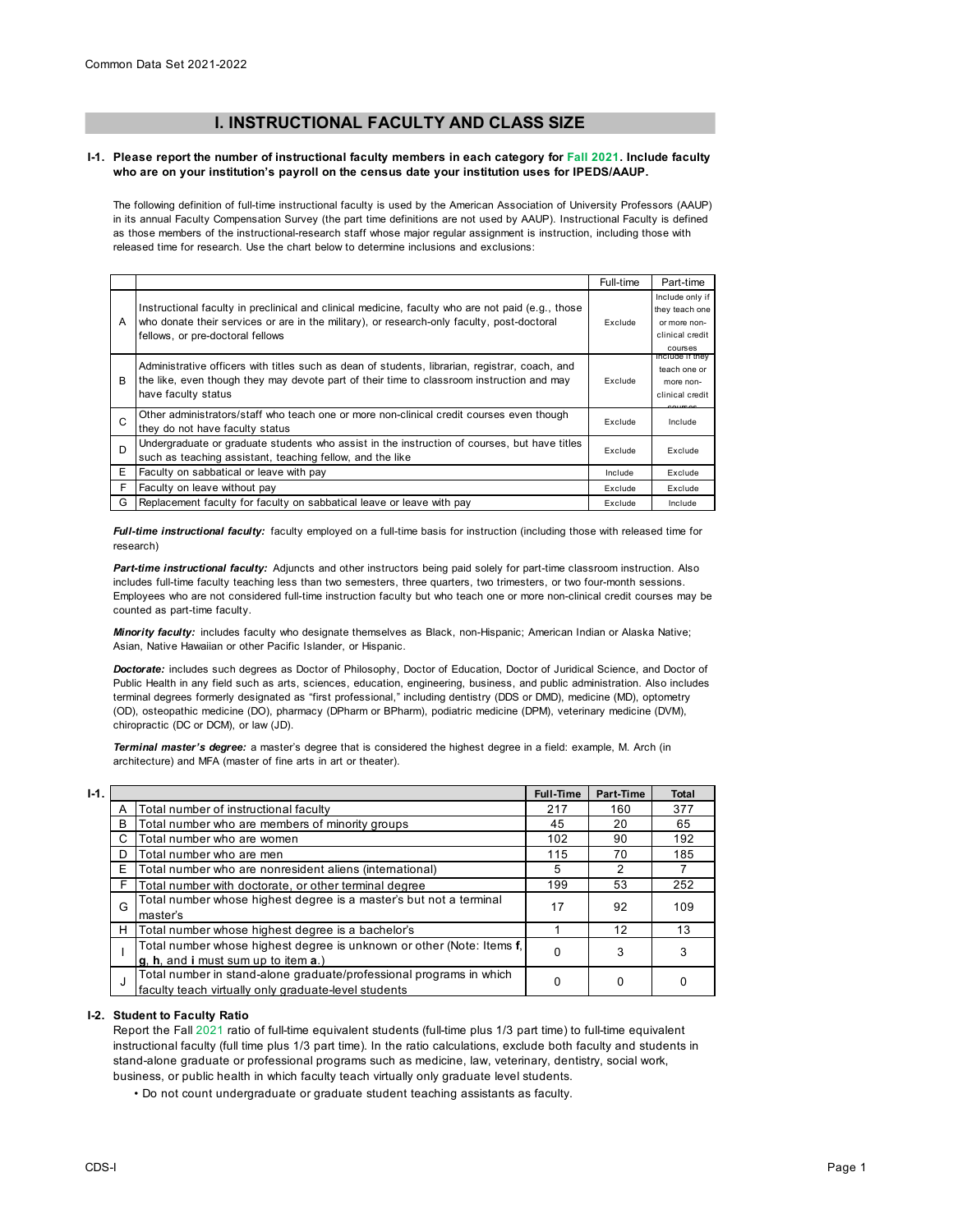# **I. INSTRUCTIONAL FACULTY AND CLASS SIZE**

# **I-1. Please report the number of instructional faculty members in each category for Fall 2021. Include faculty who are on your institution's payroll on the census date your institution uses for IPEDS/AAUP.**

The following definition of full-time instructional faculty is used by the American Association of University Professors (AAUP) in its annual Faculty Compensation Survey (the part time definitions are not used by AAUP). Instructional Faculty is defined as those members of the instructional-research staff whose major regular assignment is instruction, including those with released time for research. Use the chart below to determine inclusions and exclusions:

|   |                                                                                                                                                                                                                                     | Full-time | Part-time                                                                       |
|---|-------------------------------------------------------------------------------------------------------------------------------------------------------------------------------------------------------------------------------------|-----------|---------------------------------------------------------------------------------|
| A | Instructional faculty in preclinical and clinical medicine, faculty who are not paid (e.g., those<br>who donate their services or are in the military), or research-only faculty, post-doctoral<br>fellows, or pre-doctoral fellows | Exclude   | Include only if<br>they teach one<br>or more non-<br>clinical credit<br>courses |
| R | Administrative officers with titles such as dean of students, librarian, registrar, coach, and<br>the like, even though they may devote part of their time to classroom instruction and may<br>have faculty status                  | Exclude   | Include if they<br>teach one or<br>more non-<br>clinical credit                 |
| C | Other administrators/staff who teach one or more non-clinical credit courses even though<br>they do not have faculty status                                                                                                         | Exclude   | Include                                                                         |
| D | Undergraduate or graduate students who assist in the instruction of courses, but have titles<br>such as teaching assistant, teaching fellow, and the like                                                                           | Exclude   | Exclude                                                                         |
| Е | Faculty on sabbatical or leave with pay                                                                                                                                                                                             | Include   | Exclude                                                                         |
| F | Faculty on leave without pay                                                                                                                                                                                                        | Exclude   | Exclude                                                                         |
| G | Replacement faculty for faculty on sabbatical leave or leave with pay                                                                                                                                                               | Exclude   | Include                                                                         |

*Full-time instructional faculty:* faculty employed on a full-time basis for instruction (including those with released time for research)

*Part-time instructional faculty:* Adjuncts and other instructors being paid solely for part-time classroom instruction. Also includes full-time faculty teaching less than two semesters, three quarters, two trimesters, or two four-month sessions. Employees who are not considered full-time instruction faculty but who teach one or more non-clinical credit courses may be counted as part-time faculty.

*Minority faculty:* includes faculty who designate themselves as Black, non-Hispanic; American Indian or Alaska Native; Asian, Native Hawaiian or other Pacific Islander, or Hispanic.

*Doctorate:* includes such degrees as Doctor of Philosophy, Doctor of Education, Doctor of Juridical Science, and Doctor of Public Health in any field such as arts, sciences, education, engineering, business, and public administration. Also includes terminal degrees formerly designated as "first professional," including dentistry (DDS or DMD), medicine (MD), optometry (OD), osteopathic medicine (DO), pharmacy (DPharm or BPharm), podiatric medicine (DPM), veterinary medicine (DVM), chiropractic (DC or DCM), or law (JD).

*Terminal master's degree:* a master's degree that is considered the highest degree in a field: example, M. Arch (in architecture) and MFA (master of fine arts in art or theater).

| $-1.$ |   |                                                                       | <b>Full-Time</b> | Part-Time | Total |
|-------|---|-----------------------------------------------------------------------|------------------|-----------|-------|
|       | A | Total number of instructional faculty                                 | 217              | 160       | 377   |
|       | B | Total number who are members of minority groups                       | 45               | 20        | 65    |
|       | C | Total number who are women                                            | 102              | 90        | 192   |
|       | D | Total number who are men                                              | 115              | 70        | 185   |
|       | E | Total number who are nonresident aliens (international)               | 5                | 2         |       |
|       | F | Total number with doctorate, or other terminal degree                 | 199              | 53        | 252   |
|       | G | Total number whose highest degree is a master's but not a terminal    | 17               | 92        | 109   |
|       |   | master's                                                              |                  |           |       |
|       | H | Total number whose highest degree is a bachelor's                     |                  | 12        | 13    |
|       |   | Total number whose highest degree is unknown or other (Note: Items f, | 0                | 3         | 3     |
|       |   | q, h, and i must sum up to item a.)                                   |                  |           |       |
|       |   | Total number in stand-alone graduate/professional programs in which   | 0                | 0         | 0     |
|       |   | faculty teach virtually only graduate-level students                  |                  |           |       |

## **I-2. Student to Faculty Ratio**

Report the Fall 2021 ratio of full-time equivalent students (full-time plus 1/3 part time) to full-time equivalent instructional faculty (full time plus 1/3 part time). In the ratio calculations, exclude both faculty and students in stand-alone graduate or professional programs such as medicine, law, veterinary, dentistry, social work, business, or public health in which faculty teach virtually only graduate level students.

• Do not count undergraduate or graduate student teaching assistants as faculty.